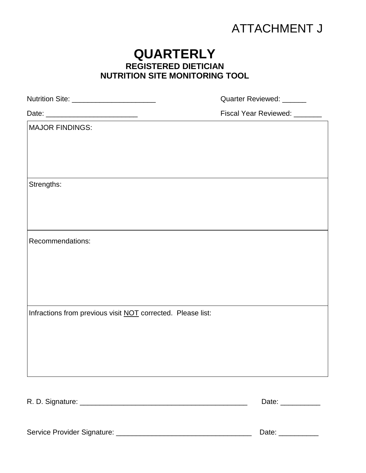# ATTACHMENT J

# **QUARTERLY REGISTERED DIETICIAN NUTRITION SITE MONITORING TOOL**

| Nutrition Site: ______________________________                                                                          | Quarter Reviewed: ______     |
|-------------------------------------------------------------------------------------------------------------------------|------------------------------|
| Date: ___________________________<br><u> 1999 - Johann Johann Harry (f. 1958)</u><br>1990 - Johann John Harry (f. 1900) | Fiscal Year Reviewed: ______ |
| <b>MAJOR FINDINGS:</b>                                                                                                  |                              |
|                                                                                                                         |                              |
|                                                                                                                         |                              |
|                                                                                                                         |                              |
| Strengths:                                                                                                              |                              |
|                                                                                                                         |                              |
|                                                                                                                         |                              |
| Recommendations:                                                                                                        |                              |
|                                                                                                                         |                              |
|                                                                                                                         |                              |
|                                                                                                                         |                              |
|                                                                                                                         |                              |
| Infractions from previous visit NOT corrected. Please list:                                                             |                              |
|                                                                                                                         |                              |
|                                                                                                                         |                              |
|                                                                                                                         |                              |
|                                                                                                                         |                              |
|                                                                                                                         | Date: ___________            |
|                                                                                                                         |                              |

Service Provider Signature: \_\_\_\_\_\_\_\_\_\_\_\_\_\_\_\_\_\_\_\_\_\_\_\_\_\_\_\_\_\_\_\_\_\_ Date: \_\_\_\_\_\_\_\_\_\_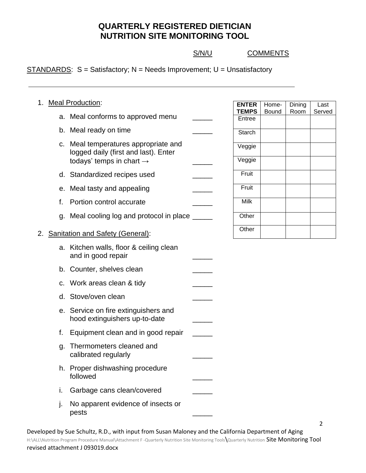S/N/U COMMENTS

Dining Room

Last Served

 $STANDARDS: S = Satisfactory; N = Needs Improvement; U = Unsatisfactory$ 

| 1. |    | <b>Meal Production:</b>                                                      | <b>ENTER</b>           | Home- |
|----|----|------------------------------------------------------------------------------|------------------------|-------|
|    |    | a. Meal conforms to approved menu                                            | <b>TEMPS</b><br>Entree | Bound |
|    |    | b. Meal ready on time                                                        | Starch                 |       |
|    |    | c. Meal temperatures appropriate and<br>logged daily (first and last). Enter | Veggie<br>Veggie       |       |
|    |    | todays' temps in chart $\rightarrow$                                         |                        |       |
|    |    | d. Standardized recipes used                                                 | Fruit                  |       |
|    |    | e. Meal tasty and appealing                                                  | Fruit                  |       |
|    | f. | Portion control accurate                                                     | <b>Milk</b>            |       |
|    |    | g. Meal cooling log and protocol in place                                    | Other                  |       |
|    |    | 2. Sanitation and Safety (General):                                          | Other                  |       |
|    |    | a. Kitchen walls, floor & ceiling clean<br>and in good repair                |                        |       |
|    |    | b. Counter, shelves clean                                                    |                        |       |
|    |    | c. Work areas clean & tidy                                                   |                        |       |
|    |    | d. Stove/oven clean                                                          |                        |       |
|    |    | e. Service on fire extinguishers and<br>hood extinguishers up-to-date        |                        |       |
|    | f. | Equipment clean and in good repair                                           |                        |       |
|    | g. | Thermometers cleaned and<br>calibrated regularly                             |                        |       |
|    |    | h. Proper dishwashing procedure<br>followed                                  |                        |       |
|    | i. | Garbage cans clean/covered                                                   |                        |       |
|    | j. | No apparent evidence of insects or<br>pests                                  |                        |       |

Developed by Sue Schultz, R.D., with input from Susan Maloney and the California Department of Aging H:\ALL\Nutrition Program Procedure Manual\Attachment F -Quarterly Nutrition Site Monitoring Tools\Quarterly Nutrition Site Monitoring Tool revised attachment J 093019.docx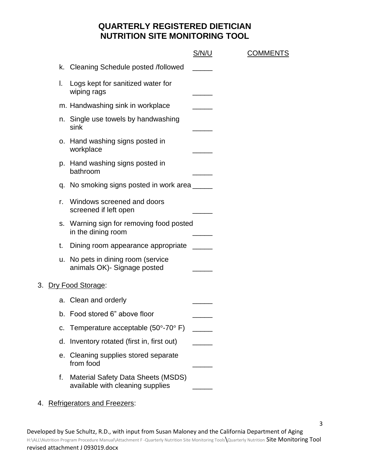**COMMENTS** 

|    |                                                                               | S/N/U |
|----|-------------------------------------------------------------------------------|-------|
|    | k. Cleaning Schedule posted /followed                                         |       |
| I. | Logs kept for sanitized water for<br>wiping rags                              |       |
|    | m. Handwashing sink in workplace                                              |       |
|    | n. Single use towels by handwashing<br>sink                                   |       |
|    | o. Hand washing signs posted in<br>workplace                                  |       |
|    | p. Hand washing signs posted in<br>bathroom                                   |       |
|    | q. No smoking signs posted in work area ______                                |       |
| r. | Windows screened and doors<br>screened if left open                           |       |
|    | s. Warning sign for removing food posted<br>in the dining room                |       |
| t. | Dining room appearance appropriate                                            |       |
|    | u. No pets in dining room (service<br>animals OK) - Signage posted            |       |
|    | 3. Dry Food Storage:                                                          |       |
|    | a. Clean and orderly                                                          |       |
|    | b. Food stored 6" above floor                                                 |       |
|    | c. Temperature acceptable $(50^{\circ}$ -70 $^{\circ}$ F)                     |       |
| d. | Inventory rotated (first in, first out)                                       |       |
|    | e. Cleaning supplies stored separate<br>from food                             |       |
| f. | <b>Material Safety Data Sheets (MSDS)</b><br>available with cleaning supplies |       |

4. Refrigerators and Freezers: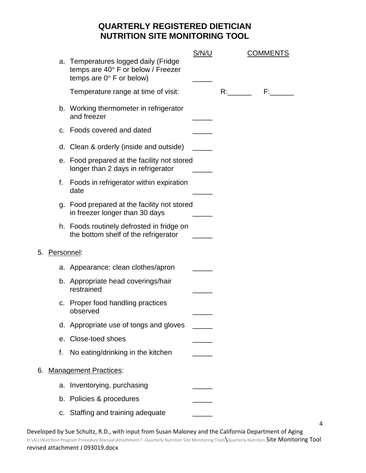|    |            |                                                                                                                      | <u>S/N/U</u> |    | <b>COMMENTS</b> |
|----|------------|----------------------------------------------------------------------------------------------------------------------|--------------|----|-----------------|
|    |            | a. Temperatures logged daily (Fridge<br>temps are $40^\circ$ F or below / Freezer<br>temps are $0^\circ$ F or below) |              |    |                 |
|    |            | Temperature range at time of visit:                                                                                  |              | R: | F: The          |
|    |            | b. Working thermometer in refrigerator<br>and freezer                                                                |              |    |                 |
|    |            | c. Foods covered and dated                                                                                           |              |    |                 |
|    |            | d. Clean & orderly (inside and outside)                                                                              |              |    |                 |
|    |            | e. Food prepared at the facility not stored<br>longer than 2 days in refrigerator                                    |              |    |                 |
|    | f.         | Foods in refrigerator within expiration<br>date                                                                      |              |    |                 |
|    |            | g. Food prepared at the facility not stored<br>in freezer longer than 30 days                                        |              |    |                 |
|    |            | h. Foods routinely defrosted in fridge on<br>the bottom shelf of the refrigerator                                    |              |    |                 |
| 5. | Personnel: |                                                                                                                      |              |    |                 |
|    |            | a. Appearance: clean clothes/apron                                                                                   |              |    |                 |
|    |            | b. Appropriate head coverings/hair<br>restrained                                                                     |              |    |                 |
|    |            | c. Proper food handling practices<br>observed                                                                        |              |    |                 |
|    |            | d. Appropriate use of tongs and gloves                                                                               |              |    |                 |
|    |            | e. Close-toed shoes                                                                                                  |              |    |                 |
|    | f.         | No eating/drinking in the kitchen                                                                                    |              |    |                 |
| 6. |            | <b>Management Practices:</b>                                                                                         |              |    |                 |
|    |            | a. Inventorying, purchasing                                                                                          |              |    |                 |
|    |            | b. Policies & procedures                                                                                             |              |    |                 |
|    |            | c. Staffing and training adequate                                                                                    |              |    |                 |

4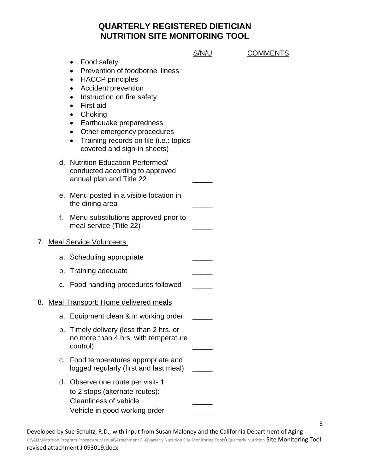|    |                                                                                                                                                                                                                                                                                                                                                                                                         | S/N/U | <b>COMMENTS</b> |
|----|---------------------------------------------------------------------------------------------------------------------------------------------------------------------------------------------------------------------------------------------------------------------------------------------------------------------------------------------------------------------------------------------------------|-------|-----------------|
|    | Food safety<br>$\bullet$<br>Prevention of foodborne illness<br>$\bullet$<br><b>HACCP</b> principles<br>$\bullet$<br><b>Accident prevention</b><br>$\bullet$<br>Instruction on fire safety<br>$\bullet$<br>First aid<br>Choking<br>$\bullet$<br>Earthquake preparedness<br>$\bullet$<br>Other emergency procedures<br>Training records on file (i.e.: topics<br>$\bullet$<br>covered and sign-in sheets) |       |                 |
|    | d. Nutrition Education Performed/<br>conducted according to approved<br>annual plan and Title 22                                                                                                                                                                                                                                                                                                        |       |                 |
|    | e. Menu posted in a visible location in<br>the dining area                                                                                                                                                                                                                                                                                                                                              |       |                 |
| f. | Menu substitutions approved prior to<br>meal service (Title 22)                                                                                                                                                                                                                                                                                                                                         |       |                 |
|    | 7. Meal Service Volunteers:                                                                                                                                                                                                                                                                                                                                                                             |       |                 |
|    | a. Scheduling appropriate                                                                                                                                                                                                                                                                                                                                                                               |       |                 |
|    | b. Training adequate                                                                                                                                                                                                                                                                                                                                                                                    |       |                 |
|    | c. Food handling procedures followed                                                                                                                                                                                                                                                                                                                                                                    |       |                 |
|    | 8. Meal Transport: Home delivered meals                                                                                                                                                                                                                                                                                                                                                                 |       |                 |
|    | a. Equipment clean & in working order                                                                                                                                                                                                                                                                                                                                                                   |       |                 |
|    | b. Timely delivery (less than 2 hrs. or<br>no more than 4 hrs. with temperature<br>control)                                                                                                                                                                                                                                                                                                             |       |                 |
|    | c. Food temperatures appropriate and<br>logged regularly (first and last meal)                                                                                                                                                                                                                                                                                                                          |       |                 |
|    | d. Observe one route per visit-1<br>to 2 stops (alternate routes):<br><b>Cleanliness of vehicle</b><br>Vehicle in good working order                                                                                                                                                                                                                                                                    |       |                 |

5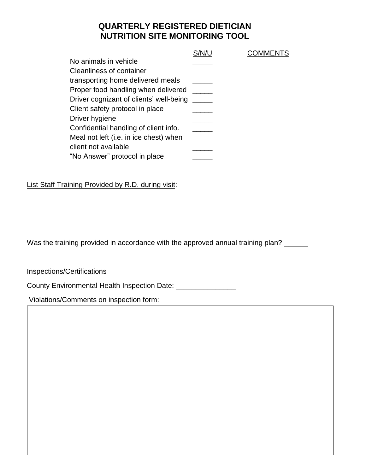**COMMENTS** 

| No animals in vehicle                   |  |
|-----------------------------------------|--|
| <b>Cleanliness of container</b>         |  |
| transporting home delivered meals       |  |
| Proper food handling when delivered     |  |
| Driver cognizant of clients' well-being |  |
| Client safety protocol in place         |  |
| Driver hygiene                          |  |
| Confidential handling of client info.   |  |
| Meal not left (i.e. in ice chest) when  |  |
| client not available                    |  |
| "No Answer" protocol in place           |  |

List Staff Training Provided by R.D. during visit:

Was the training provided in accordance with the approved annual training plan? \_\_\_\_\_

Developed by Sue Schultz, R.D., with input from Susan Maloney and the California Department of Aging

 $\mathcal{H}=\mathcal{H}=\mathcal{H}=\mathcal{H}=\mathcal{H}=\mathcal{H}=\mathcal{H}=\mathcal{H}=\mathcal{H}=\mathcal{H}=\mathcal{H}=\mathcal{H}=\mathcal{H}=\mathcal{H}=\mathcal{H}=\mathcal{H}=\mathcal{H}=\mathcal{H}=\mathcal{H}=\mathcal{H}=\mathcal{H}=\mathcal{H}=\mathcal{H}=\mathcal{H}=\mathcal{H}=\mathcal{H}=\mathcal{H}=\mathcal{H}=\mathcal{H}=\mathcal{H}=\mathcal{H}=\mathcal{H}=\mathcal{H}=\mathcal{H}=\mathcal{H}=\mathcal{H}=\mathcal{$ 

Inspections/Certifications

revised attachment J 093019.docx

County Environmental Health Inspection Date: \_\_\_\_\_\_\_\_\_\_\_\_\_\_\_\_

Violations/Comments on inspection form: